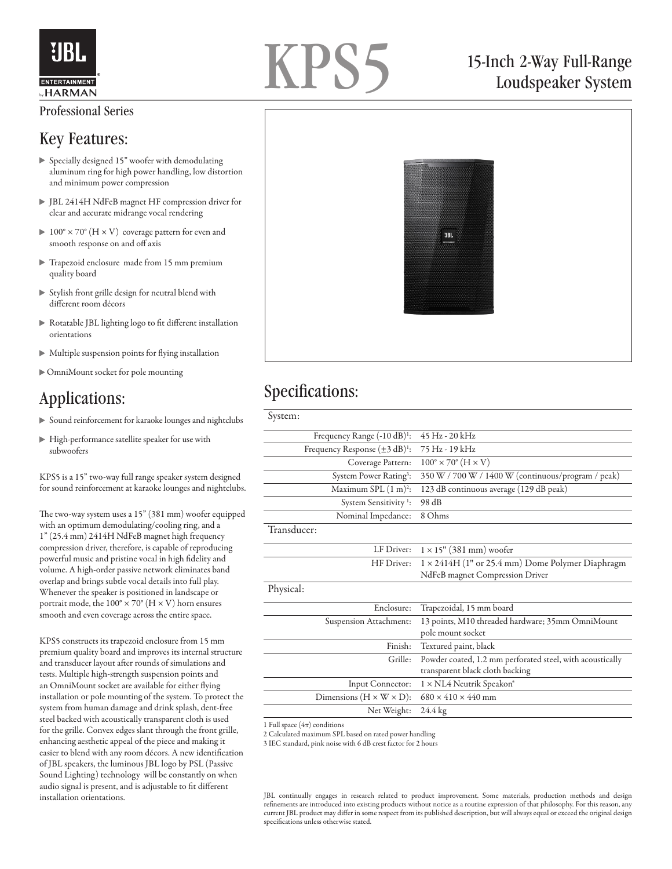

#### Professional Series

#### Key Features:

- Specially designed 15" woofer with demodulating aluminum ring for high power handling, low distortion and minimum power compression
- JBL 2414H NdFeB magnet HF compression driver for clear and accurate midrange vocal rendering
- $100^\circ \times 70^\circ$  (H  $\times$  V) coverage pattern for even and smooth response on and off axis
- Trapezoid enclosure made from 15 mm premium quality board
- $\triangleright$  Stylish front grille design for neutral blend with different room décors
- Rotatable JBL lighting logo to fit different installation orientations
- Multiple suspension points for flying installation
- OmniMount socket for pole mounting

#### Applications:

- Sound reinforcement for karaoke lounges and nightclubs
- High-performance satellite speaker for use with subwoofers

KPS5 is a 15" two-way full range speaker system designed for sound reinforcement at karaoke lounges and nightclubs.

The two-way system uses a 15" (381 mm) woofer equipped with an optimum demodulating/cooling ring, and a 1" (25.4 mm) 2414H NdFeB magnet high frequency compression driver, therefore, is capable of reproducing powerful music and pristine vocal in high fidelity and volume. A high-order passive network eliminates band overlap and brings subtle vocal details into full play. Whenever the speaker is positioned in landscape or portrait mode, the  $100^{\circ} \times 70^{\circ}$  (H  $\times$  V) horn ensures smooth and even coverage across the entire space.

KPS5 constructs its trapezoid enclosure from 15 mm premium quality board and improves its internal structure and transducer layout after rounds of simulations and tests. Multiple high-strength suspension points and an OmniMount socket are available for either flying installation or pole mounting of the system. To protect the system from human damage and drink splash, dent-free steel backed with acoustically transparent cloth is used for the grille. Convex edges slant through the front grille, enhancing aesthetic appeal of the piece and making it easier to blend with any room décors. A new identification of JBL speakers, the luminous JBL logo by PSL (Passive Sound Lighting) technology will be constantly on when audio signal is present, and is adjustable to fit different

# KPS5

### 15-Inch 2-Way Full-Range Loudspeaker System



#### Specifications:

| System:                                     |                                                                                              |
|---------------------------------------------|----------------------------------------------------------------------------------------------|
| Frequency Range (-10 dB) <sup>1</sup> :     | $45$ Hz - $20$ kHz                                                                           |
| Frequency Response $(\pm 3 \text{ dB})^1$ : | 75 Hz - 19 kHz                                                                               |
| Coverage Pattern:                           | $100^\circ \times 70^\circ$ (H $\times$ V)                                                   |
| System Power Rating <sup>3</sup> :          | 350 W / 700 W / 1400 W (continuous/program / peak)                                           |
| Maximum SPL $(1 \text{ m})^2$ :             | 123 dB continuous average (129 dB peak)                                                      |
| System Sensitivity <sup>1</sup> :           | 98 dB                                                                                        |
| Nominal Impedance:                          | 8 Ohms                                                                                       |
| Transducer:                                 |                                                                                              |
| LF Driver:                                  | $1 \times 15$ " (381 mm) woofer                                                              |
| HF Driver:                                  | $1 \times 2414$ H (1" or 25.4 mm) Dome Polymer Diaphragm                                     |
|                                             | NdFeB magnet Compression Driver                                                              |
| Physical:                                   |                                                                                              |
| Enclosure:                                  | Trapezoidal, 15 mm board                                                                     |
| Suspension Attachment:                      | 13 points, M10 threaded hardware; 35mm OmniMount<br>pole mount socket                        |
| Finish:                                     | Textured paint, black                                                                        |
| Grille:                                     | Powder coated, 1.2 mm perforated steel, with acoustically<br>transparent black cloth backing |
| Input Connector:                            | 1 × NL4 Neutrik Speakon®                                                                     |
| Dimensions ( $H \times W \times D$ ):       | $680 \times 410 \times 440$ mm                                                               |
| Net Weight:                                 | 24.4 kg                                                                                      |
|                                             |                                                                                              |

1 Full space  $(4\pi)$  conditions

2 Calculated maximum SPL based on rated power handling

3 IEC standard, pink noise with 6 dB crest factor for 2 hours

installation orientations. JBL continually engages in research related to product improvement. Some materials, production methods and design refinements are introduced into existing products without notice as a routine expression of that philosophy. For this reason, any current JBL product may differ in some respect from its published description, but will always equal or exceed the original design specifications unless otherwise stated.